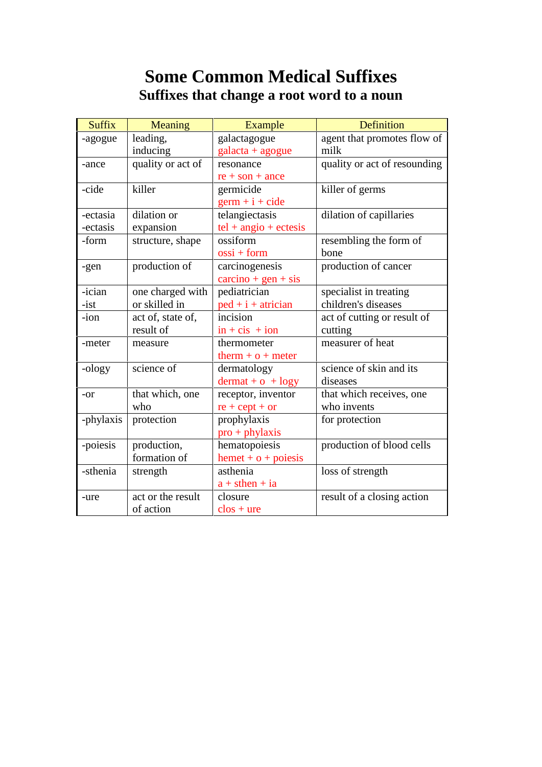# **Some Common Medical Suffixes Suffixes that change a root word to a noun**

| <b>Suffix</b> | Meaning           | Example                                    | Definition                   |
|---------------|-------------------|--------------------------------------------|------------------------------|
| -agogue       | leading,          | galactagogue                               | agent that promotes flow of  |
|               | inducing          | $galacta + agogue$                         | milk                         |
| -ance         | quality or act of | resonance                                  | quality or act of resounding |
|               |                   | $re + son + ance$                          |                              |
| -cide         | killer            | germicide                                  | killer of germs              |
|               |                   | $germ + i + cide$                          |                              |
| -ectasia      | dilation or       | telangiectasis                             | dilation of capillaries      |
| -ectasis      | expansion         | $tel + angio + ectesis$                    |                              |
| -form         | structure, shape  | ossiform                                   | resembling the form of       |
|               |                   | $\cos i + form$                            | bone                         |
| -gen          | production of     | carcinogenesis                             | production of cancer         |
|               |                   | $\text{carcino} + \text{gen} + \text{sis}$ |                              |
| -ician        | one charged with  | pediatrician                               | specialist in treating       |
| $-ist$        | or skilled in     | $ped + i + atrician$                       | children's diseases          |
| -ion          | act of, state of, | incision                                   | act of cutting or result of  |
|               | result of         | $in + cis + ion$                           | cutting                      |
| -meter        | measure           | thermometer                                | measurer of heat             |
|               |                   | $therm + o + meter$                        |                              |
| -ology        | science of        | dermatology                                | science of skin and its      |
|               |                   | $d$ ermat + $o$ + $log y$                  | diseases                     |
| $-or$         | that which, one   | receptor, inventor                         | that which receives, one     |
|               | who               | $re + cept + or$                           | who invents                  |
| -phylaxis     | protection        | prophylaxis                                | for protection               |
|               |                   | $pro + phylaxis$                           |                              |
| -poiesis      | production,       | hematopoiesis                              | production of blood cells    |
|               | formation of      | $h$ emet + $o$ + poiesis                   |                              |
| -sthenia      | strength          | asthenia                                   | loss of strength             |
|               |                   | $a + sthen + ia$                           |                              |
| -ure          | act or the result | closure                                    | result of a closing action   |
|               | of action         | $\cos +$ ure                               |                              |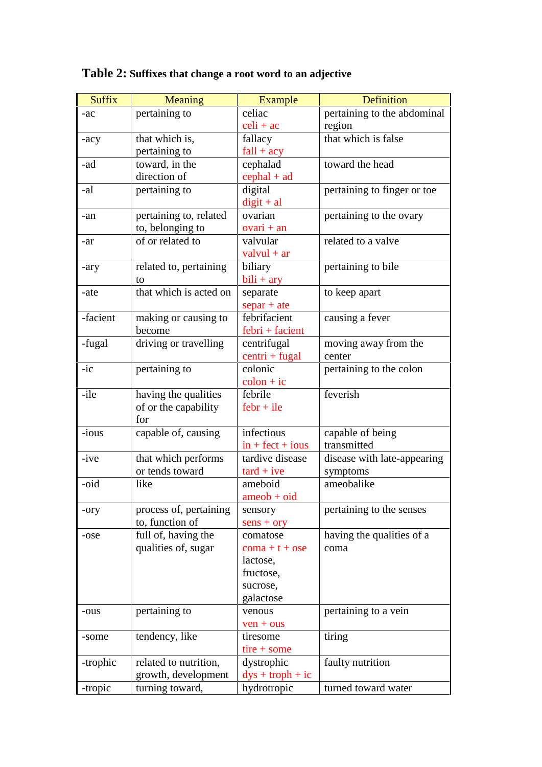| <b>Suffix</b> | <b>Meaning</b>         | Example                    | Definition                  |
|---------------|------------------------|----------------------------|-----------------------------|
| $-ac$         | pertaining to          | celiac                     | pertaining to the abdominal |
|               |                        | $\text{celi} + \text{ac}$  | region                      |
| $-acy$        | that which is,         | fallacy                    | that which is false         |
|               | pertaining to          | $fall + acy$               |                             |
| -ad           | toward, in the         | cephalad                   | toward the head             |
|               | direction of           | $cephal + ad$              |                             |
| -al           | pertaining to          | digital                    | pertaining to finger or toe |
|               |                        | $digit + al$               |                             |
| -an           | pertaining to, related | ovarian                    | pertaining to the ovary     |
|               | to, belonging to       | $ovari + an$               |                             |
| -ar           | of or related to       | valvular                   | related to a valve          |
|               |                        | $valvul + ar$              |                             |
| -ary          | related to, pertaining | biliary                    | pertaining to bile          |
|               | to                     | $bili + ary$               |                             |
| -ate          | that which is acted on | separate                   | to keep apart               |
|               |                        | $separ + ate$              |                             |
| -facient      | making or causing to   | febrifacient               | causing a fever             |
|               | become                 | $febri + facient$          |                             |
| -fugal        | driving or travelling  | centrifugal                | moving away from the        |
|               |                        | $centri + fugal$           | center                      |
| $-ic$         | pertaining to          | colonic                    | pertaining to the colon     |
|               |                        | $\text{colon} + \text{ic}$ |                             |
| -ile          | having the qualities   | febrile                    | feverish                    |
|               | of or the capability   | $febr + ile$               |                             |
|               | for                    |                            |                             |
| -ious         | capable of, causing    | infectious                 | capable of being            |
|               |                        | $in + feet + ious$         | transmitted                 |
| -ive          | that which performs    | tardive disease            | disease with late-appearing |

#### **Table 2: Suffixes that change a root word to an adjective**

|          | or tends toward        | $\text{tard} + \text{ive}$ | symptoms                  |
|----------|------------------------|----------------------------|---------------------------|
| -oid     | like                   | ameboid                    | ameobalike                |
|          |                        | $ameob + oid$              |                           |
| -ory     | process of, pertaining | sensory                    | pertaining to the senses  |
|          | to, function of        | $sens + ory$               |                           |
| -ose     | full of, having the    | comatose                   | having the qualities of a |
|          | qualities of, sugar    | $com1 + t + ose$           | coma                      |
|          |                        | lactose,                   |                           |
|          |                        | fructose,                  |                           |
|          |                        | sucrose,                   |                           |
|          |                        | galactose                  |                           |
| -ous     | pertaining to          | venous                     | pertaining to a vein      |
|          |                        | $ven +ous$                 |                           |
| -some    | tendency, like         | tiresome                   | tiring                    |
|          |                        | $tire + some$              |                           |
| -trophic | related to nutrition,  | dystrophic                 | faulty nutrition          |
|          | growth, development    | $dys + troph + ic$         |                           |
| -tropic  | turning toward,        | hydrotropic                | turned toward water       |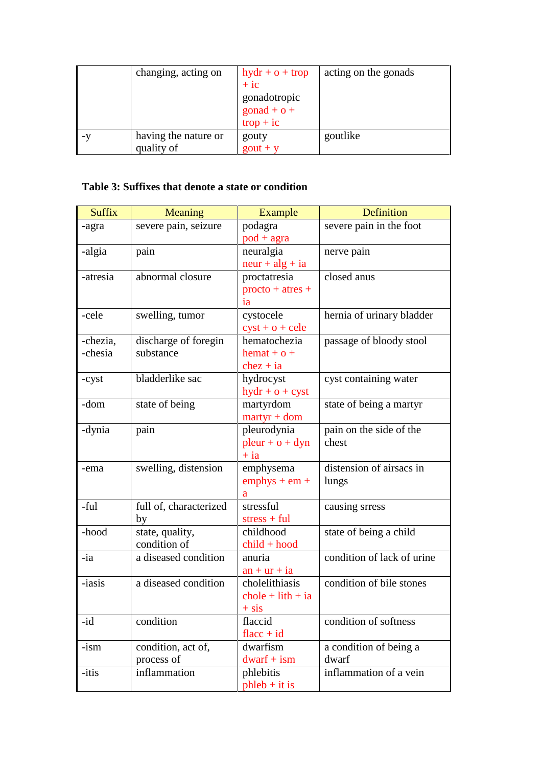|      | changing, acting on  | $\frac{dy}{dx} + o + \text{trop}$ | acting on the gonads |
|------|----------------------|-----------------------------------|----------------------|
|      |                      | $+ i c$                           |                      |
|      |                      | gonadotropic                      |                      |
|      |                      | $\text{gonad} + \text{o} +$       |                      |
|      |                      | $trop + ic$                       |                      |
| $-Y$ | having the nature or | gouty                             | goutlike             |
|      | quality of           | $gout + y$                        |                      |

#### **Table 3: Suffixes that denote a state or condition**

| <b>Suffix</b> | <b>Meaning</b>         | Example                          | <b>Definition</b>          |
|---------------|------------------------|----------------------------------|----------------------------|
| -agra         | severe pain, seizure   | podagra                          | severe pain in the foot    |
|               |                        | $pod + agra$                     |                            |
| -algia        | pain                   | neuralgia                        | nerve pain                 |
|               |                        | $neur + alg + ia$                |                            |
| -atresia      | abnormal closure       | proctatresia                     | closed anus                |
|               |                        | $\text{procto} + \text{atres} +$ |                            |
|               |                        | ia                               |                            |
| -cele         | swelling, tumor        | cystocele                        | hernia of urinary bladder  |
|               |                        | $cyst + o + cele$                |                            |
| -chezia,      | discharge of foregin   | hematochezia                     | passage of bloody stool    |
| -chesia       | substance              | $hemat + o +$                    |                            |
|               |                        | $chez + ia$                      |                            |
| -cyst         | bladderlike sac        | hydrocyst                        | cyst containing water      |
|               |                        | $hydr + o + cyst$                |                            |
| -dom          | state of being         | martyrdom                        | state of being a martyr    |
|               |                        | $matrix + dom$                   |                            |
| -dynia        | pain                   | pleurodynia                      | pain on the side of the    |
|               |                        | $\n  pleur + o + dyn\n$          | chest                      |
|               |                        | $+ia$                            |                            |
| -ema          | swelling, distension   | emphysema                        | distension of airsacs in   |
|               |                        | $emphys + em +$                  | lungs                      |
|               |                        | a                                |                            |
| -ful          | full of, characterized | stressful                        | causing srress             |
|               | by                     | $stress + ful$                   |                            |
| -hood         | state, quality,        | childhood                        | state of being a child     |
|               | condition of           | $child + hood$                   |                            |
| -ia           | a diseased condition   | anuria                           | condition of lack of urine |
|               |                        | $an + ur + ia$                   |                            |
| -iasis        | a diseased condition   | cholelithiasis                   | condition of bile stones   |
|               |                        | $chole + lith + ia$              |                            |
|               |                        | $+$ sis                          |                            |
| -id           | condition              | flaccid                          | condition of softness      |
|               |                        | flacc + $id$                     |                            |
| $-ism$        | condition, act of,     | dwarfism                         | a condition of being a     |
|               | process of             | $dwarf + ism$                    | dwarf                      |
| -itis         | inflammation           | phlebitis                        | inflammation of a vein     |
|               |                        | $phleb + it$ is                  |                            |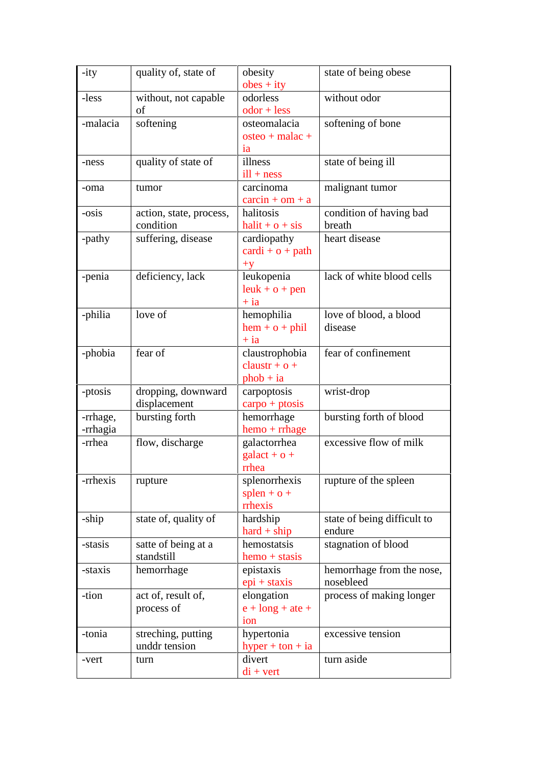| $-ity$   | quality of, state of                | obesity                                | state of being obese        |
|----------|-------------------------------------|----------------------------------------|-----------------------------|
|          |                                     | $obes + ity$                           |                             |
| -less    | without, not capable                | odorless                               | without odor                |
|          | of                                  | $odor + less$                          |                             |
| -malacia | softening                           | osteomalacia                           | softening of bone           |
|          |                                     | $osteo + malac +$                      |                             |
|          |                                     | ia                                     |                             |
| -ness    | quality of state of                 | illness                                | state of being ill          |
|          |                                     | $ill + ness$                           |                             |
| -oma     | tumor                               | carcinoma                              | malignant tumor             |
|          |                                     | $\text{carcin} + \text{om} + \text{a}$ |                             |
| -osis    | action, state, process,             | halitosis                              | condition of having bad     |
|          | condition                           | $halit + o + sis$                      | breath                      |
| -pathy   | suffering, disease                  | cardiopathy                            | heart disease               |
|          |                                     | $cardi + o + path$                     |                             |
|          |                                     | $+y$                                   |                             |
| -penia   | deficiency, lack                    | leukopenia                             | lack of white blood cells   |
|          |                                     | $leuk + o + pen$                       |                             |
|          |                                     | $+ia$                                  |                             |
| -philia  | love of                             | hemophilia                             | love of blood, a blood      |
|          |                                     | $hem + o + phi$                        | disease                     |
|          |                                     | $+$ ia                                 |                             |
| -phobia  | fear of                             | claustrophobia                         | fear of confinement         |
|          |                                     | claustr + $o$ +                        |                             |
|          |                                     | $phob + ia$                            |                             |
| -ptosis  | dropping, downward                  | carpoptosis                            | wrist-drop                  |
|          | displacement                        | $\text{carpo} + \text{ptosis}$         |                             |
| -rrhage, | bursting forth                      | hemorrhage                             | bursting forth of blood     |
| -rrhagia |                                     | $hemo + rrhage$                        |                             |
| -rrhea   | flow, discharge                     | galactorrhea                           | excessive flow of milk      |
|          |                                     | $\text{galact} + \text{o} +$           |                             |
|          |                                     | rrhea                                  |                             |
| -rrhexis | rupture                             | splenorrhexis                          | rupture of the spleen       |
|          |                                     | $s$ plen + $o$ +                       |                             |
|          |                                     | rrhexis                                |                             |
| -ship    | state of, quality of                | hardship                               | state of being difficult to |
|          |                                     | $hard + ship$                          | endure                      |
| -stasis  | satte of being at a                 | hemostatsis                            | stagnation of blood         |
|          | standstill                          | $hemo + stasis$                        |                             |
| -staxis  | hemorrhage                          | epistaxis                              | hemorrhage from the nose,   |
|          |                                     | $epi + staxis$                         | nosebleed                   |
| -tion    | act of, result of,                  | elongation                             | process of making longer    |
|          | process of                          | $e + long + ate +$                     |                             |
|          |                                     | ion                                    |                             |
|          |                                     |                                        |                             |
| -tonia   | streching, putting<br>unddr tension | hypertonia                             | excessive tension           |
|          |                                     | hyper + ton + ia                       |                             |
| -vert    | turn                                | divert                                 | turn aside                  |
|          |                                     | $di + vert$                            |                             |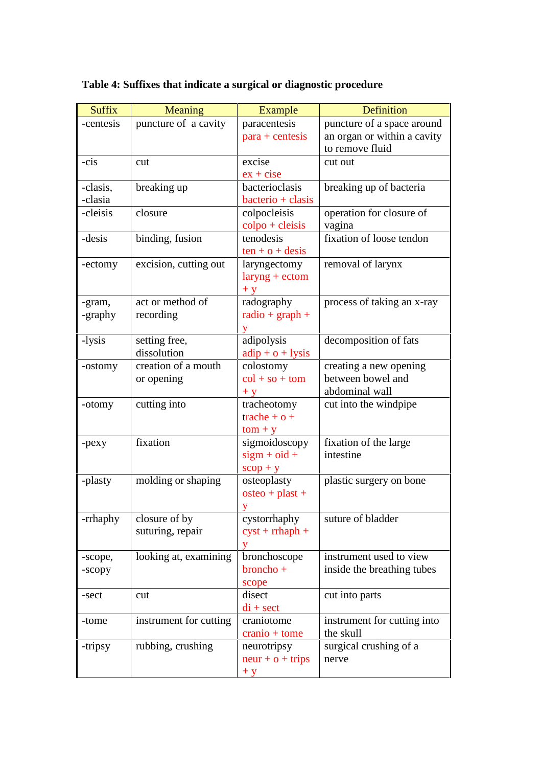| <b>Suffix</b> | Meaning                | Example                                 | <b>Definition</b>           |
|---------------|------------------------|-----------------------------------------|-----------------------------|
| -centesis     | puncture of a cavity   | paracentesis                            | puncture of a space around  |
|               |                        | $para + centesis$                       | an organ or within a cavity |
|               |                        |                                         | to remove fluid             |
| -cis          | cut                    | excise                                  | cut out                     |
|               |                        | $ex + cise$                             |                             |
| -clasis,      | breaking up            | bacterioclasis                          | breaking up of bacteria     |
| -clasia       |                        | bacterio + clasis                       |                             |
| -cleisis      | closure                | colpocleisis                            | operation for closure of    |
|               |                        | $\text{colpo} + \text{cleisis}$         | vagina                      |
| -desis        | binding, fusion        | tenodesis                               | fixation of loose tendon    |
|               |                        | $ten + o + desis$                       |                             |
| -ectomy       | excision, cutting out  | laryngectomy                            | removal of larynx           |
|               |                        | $laryng + ectom$                        |                             |
|               |                        | $+ y$                                   |                             |
| -gram,        | act or method of       | radography                              | process of taking an x-ray  |
| -graphy       | recording              | $radio + graph +$                       |                             |
|               |                        |                                         |                             |
| -lysis        | setting free,          | adipolysis                              | decomposition of fats       |
|               | dissolution            | $\text{adip} + \text{o} + \text{lysis}$ |                             |
| -ostomy       | creation of a mouth    | colostomy                               | creating a new opening      |
|               | or opening             | $col + so + tom$                        | between bowel and           |
|               |                        | $+V$                                    | abdominal wall              |
| -otomy        | cutting into           | tracheotomy                             | cut into the windpipe       |
|               |                        | trache + $o$ +                          |                             |
|               |                        | $tom + y$                               |                             |
| -pexy         | fixation               | sigmoidoscopy                           | fixation of the large       |
|               |                        | $sign + oid +$                          | intestine                   |
|               |                        | $scop + y$                              |                             |
| -plasty       | molding or shaping     | osteoplasty                             | plastic surgery on bone     |
|               |                        | $osteo + plast +$                       |                             |
|               |                        | V                                       |                             |
| -rrhaphy      | closure of by          | cystorrhaphy                            | suture of bladder           |
|               | suturing, repair       | $cyst + rmaph +$                        |                             |
|               |                        | y                                       |                             |
| -scope,       | looking at, examining  | bronchoscope                            | instrument used to view     |
| -scopy        |                        | $broncho +$                             | inside the breathing tubes  |
|               |                        | scope                                   |                             |
| -sect         | cut                    | disect                                  | cut into parts              |
|               |                        | $di + sect$                             |                             |
| -tome         | instrument for cutting | craniotome                              | instrument for cutting into |
|               |                        | $cranio + tome$                         | the skull                   |
| -tripsy       | rubbing, crushing      | neurotripsy                             | surgical crushing of a      |
|               |                        | $neur + o + trips$                      | nerve                       |
|               |                        | $+ y$                                   |                             |

## **Table 4: Suffixes that indicate a surgical or diagnostic procedure**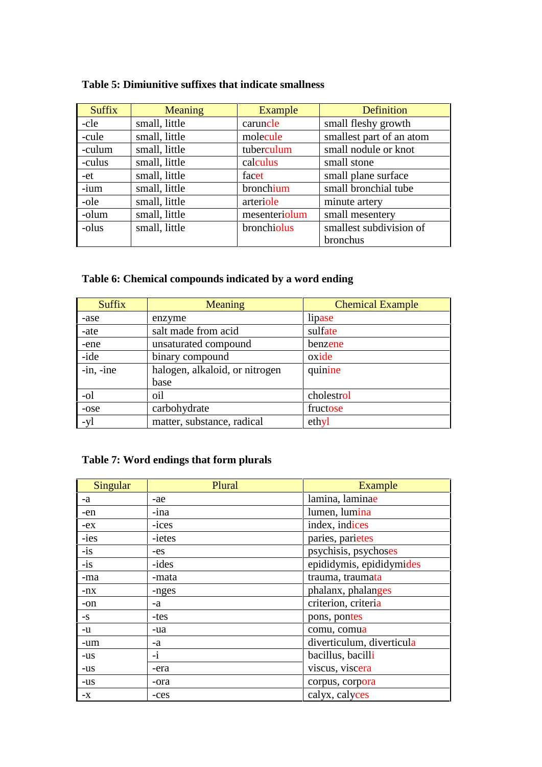## **Table 5: Dimiunitive suffixes that indicate smallness**

| <b>Suffix</b> | <b>Meaning</b> | Example       | <b>Definition</b>        |
|---------------|----------------|---------------|--------------------------|
| -cle          | small, little  | caruncle      | small fleshy growth      |
| -cule         | small, little  | molecule      | smallest part of an atom |
| -culum        | small, little  | tuberculum    | small nodule or knot     |
| -culus        | small, little  | calculus      | small stone              |
| -et           | small, little  | facet         | small plane surface      |
| -ium          | small, little  | bronchium     | small bronchial tube     |
| -ole          | small, little  | arteriole     | minute artery            |
| -olum         | small, little  | mesenteriolum | small mesentery          |
| -olus         | small, little  | bronchiolus   | smallest subdivision of  |
|               |                |               | bronchus                 |

## **Table 6: Chemical compounds indicated by a word ending**

| <b>Suffix</b> | Meaning                        | <b>Chemical Example</b> |
|---------------|--------------------------------|-------------------------|
| -ase          | enzyme                         | lipase                  |
| -ate          | salt made from acid            | sulfate                 |
| -ene          | unsaturated compound           | benzene                 |
| -ide          | binary compound                | oxide                   |
| $-in.$ -ine   | halogen, alkaloid, or nitrogen | quinine                 |
|               | base                           |                         |
| -ol           | oil                            | cholestrol              |
| -ose          | carbohydrate                   | fructose                |
| -yl           | matter, substance, radical     | ethyl                   |

## **Table 7: Word endings that form plurals**

| <b>Singular</b> | Plural | <b>Example</b>            |
|-----------------|--------|---------------------------|
| -a              | -ae    | lamina, laminae           |
| -en             | -ina   | lumen, lumina             |
| $-ex$           | -ices  | index, indices            |
| -ies            | -ietes | paries, parietes          |
| $-is$           | $-es$  | psychisis, psychoses      |
| $-is$           | -ides  | epididymis, epididymides  |
| -ma             | -mata  | trauma, traumata          |
| $-nx$           | -nges  | phalanx, phalanges        |
| -on             | -a     | criterion, criteria       |
| $-S$            | -tes   | pons, pontes              |
| -u              | -ua    | comu, comua               |
| -um             | -a     | diverticulum, diverticula |
| $-us$           | $-i$   | bacillus, bacilli         |
| $-US$           | -era   | viscus, viscera           |
| $-US$           | -ora   | corpus, corpora           |
| $-X$            | -ces   | calyx, calyces            |